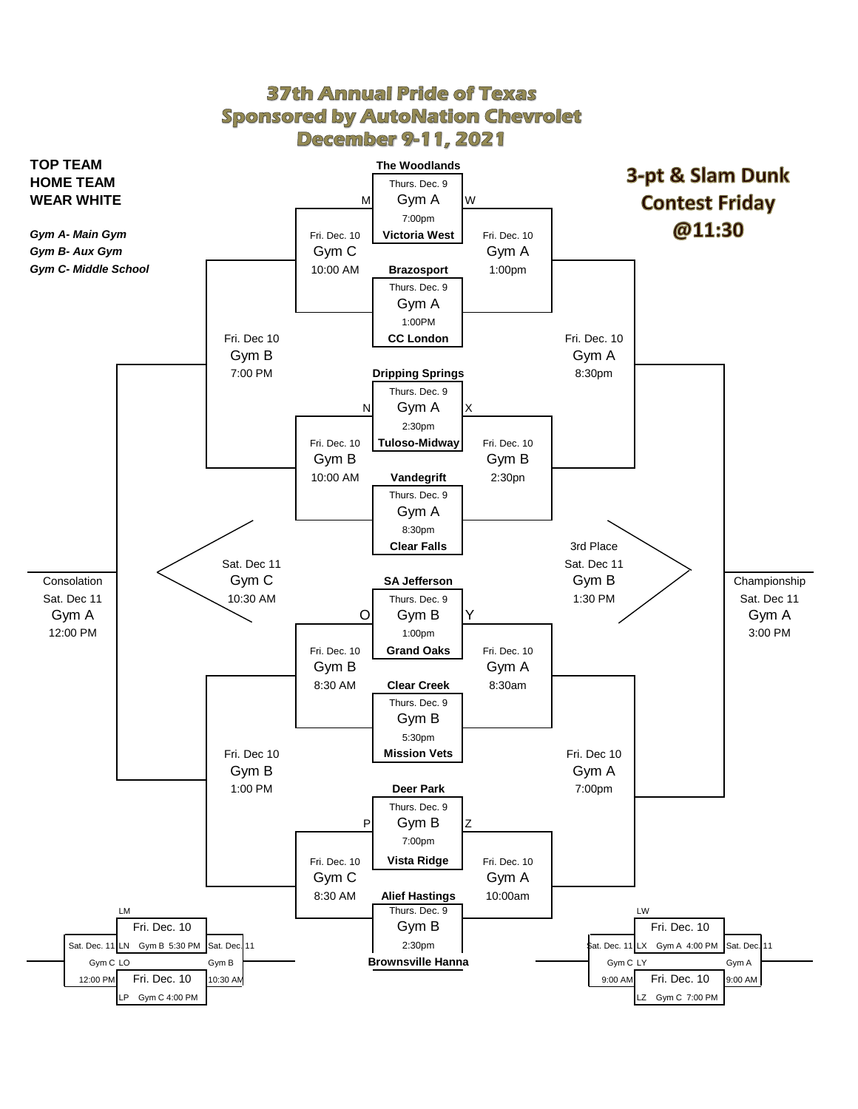